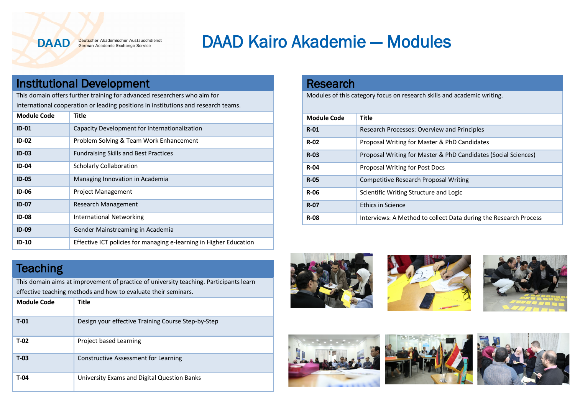**DAAD** 

Deutscher Akademischer Austauschdienst German Academic Exchange Service

## DAAD Kairo Akademie — Modules

## Institutional Development

This domain offers further training for advanced researchers who aim for international cooperation or leading positions in institutions and research teams.

| <b>Module Code</b> | Title                                                              |
|--------------------|--------------------------------------------------------------------|
| $ID-01$            | Capacity Development for Internationalization                      |
| $ID-02$            | Problem Solving & Team Work Enhancement                            |
| $ID-03$            | <b>Fundraising Skills and Best Practices</b>                       |
| <b>ID-04</b>       | <b>Scholarly Collaboration</b>                                     |
| $ID-05$            | Managing Innovation in Academia                                    |
| $ID-06$            | <b>Project Management</b>                                          |
| $ID-07$            | <b>Research Management</b>                                         |
| <b>ID-08</b>       | International Networking                                           |
| <b>ID-09</b>       | Gender Mainstreaming in Academia                                   |
| $ID-10$            | Effective ICT policies for managing e-learning in Higher Education |

## **Teaching**

This domain aims at improvement of practice of university teaching. Participants learn effective teaching methods and how to evaluate their seminars.

| <b>Module Code</b> | Title                                              |
|--------------------|----------------------------------------------------|
| $T-01$             | Design your effective Training Course Step-by-Step |
| $T-02$             | Project based Learning                             |
| $T-03$             | Constructive Assessment for Learning               |
| $T-04$             | University Exams and Digital Question Banks        |

| <b>Research</b>                                                         |                                              |  |
|-------------------------------------------------------------------------|----------------------------------------------|--|
| Modules of this category focus on research skills and academic writing. |                                              |  |
|                                                                         |                                              |  |
|                                                                         |                                              |  |
| <b>Module Code</b>                                                      | Title                                        |  |
| $R-01$                                                                  | Research Processes: Overview and Principles  |  |
|                                                                         |                                              |  |
| $R-02$                                                                  | Proposal Writing for Master & PhD Candidates |  |

| R-02        | Proposal Writing for Master & PhD Candidates                     |
|-------------|------------------------------------------------------------------|
| <b>R-03</b> | Proposal Writing for Master & PhD Candidates (Social Sciences)   |
| <b>R-04</b> | Proposal Writing for Post Docs                                   |
| <b>R-05</b> | <b>Competitive Research Proposal Writing</b>                     |
| R-06        | Scientific Writing Structure and Logic                           |
| <b>R-07</b> | <b>Ethics in Science</b>                                         |
| <b>R-08</b> | Interviews: A Method to collect Data during the Research Process |